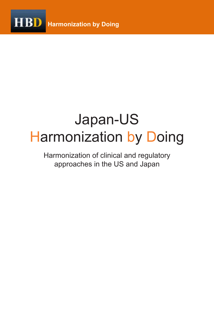

# Japan-US **Harmonization by Doing**

Harmonization of clinical and regulatory approaches in the US and Japan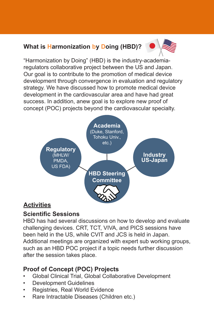### **What is Harmonization by Doing (HBD)?**



"Harmonization by Doing" (HBD) is the industry-academiaregulators collaborative project between the US and Japan. Our goal is to contribute to the promotion of medical device development through convergence in evaluation and regulatory strategy. We have discussed how to promote medical device development in the cardiovascular area and have had great success. In addition, anew goal is to explore new proof of concept (POC) projects beyond the cardiovascular specialty.



### **Activities**

### **Scientific Sessions**

HBD has had several discussions on how to develop and evaluate challenging devices. CRT, TCT, VIVA, and PICS sessions have been held in the US, while CVIT and JCS is held in Japan. Additional meetings are organized with expert sub working groups, such as an HBD POC project if a topic needs further discussion after the session takes place.

## **Proof of Concept (POC) Projects**

- Global Clinical Trial, Global Collaborative Development
- **Development Guidelines**
- • Registries, Real World Evidence
- Rare Intractable Diseases (Children etc.)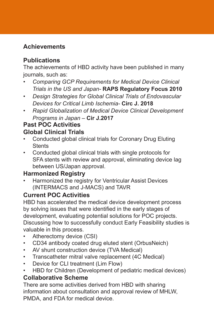#### **Achievements**

#### **Publications**

The achievements of HBD activity have been published in many journals, such as:

- *• Comparing GCP Requirements for Medical Device Clinical Trials in the US and Japan-* **RAPS Regulatory Focus 2010**
- *• Design Strategies for Global Clinical Trials of Endovascular Devices for Critical Limb Ischemia-* **Circ J. 2018**
- *• Rapid Globalization of Medical Device Clinical Development Programs in Japan –* **Cir J.2017**

#### **Past POC Activities Global Clinical Trials**

- Conducted global clinical trials for Coronary Drug Eluting **Stents**
- • Conducted global clinical trials with single protocols for SFA stents with review and approval, eliminating device lag between US/Japan approval.

### **Harmonized Registry**

Harmonized the registry for Ventricular Assist Devices (INTERMACS and J-MACS) and TAVR

### **Current POC Activities**

HBD has accelerated the medical device development process by solving issues that were identified in the early stages of development, evaluating potential solutions for POC projects. Discussing how to successfully conduct Early Feasibility studies is valuable in this process.

- Atherectomy device (CSI)
- CD34 antibody coated drug eluted stent (OrbusNeich)
- AV shunt construction device (TVA Medical)
- Transcatheter mitral valve replacement (4C Medical)
- • Device for CLI treatment (Lim Flow)
- HBD for Children (Development of pediatric medical devices)

### **Collaborative Scheme**

There are some activities derived from HBD with sharing information about consultation and approval review of MHLW, PMDA, and FDA for medical device.